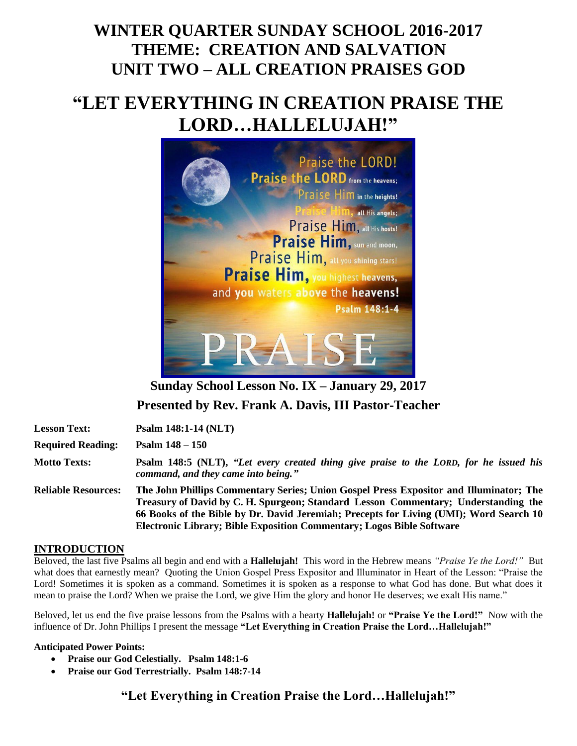## **WINTER QUARTER SUNDAY SCHOOL 2016-2017 THEME: CREATION AND SALVATION UNIT TWO – ALL CREATION PRAISES GOD**

# **"LET EVERYTHING IN CREATION PRAISE THE LORD…HALLELUJAH!"**



**Sunday School Lesson No. IX – January 29, 2017 Presented by Rev. Frank A. Davis, III Pastor-Teacher**

| <b>Lesson Text:</b>        | <b>Psalm 148:1-14 (NLT)</b>                                                                                                                                                                                                                                                                                                                     |
|----------------------------|-------------------------------------------------------------------------------------------------------------------------------------------------------------------------------------------------------------------------------------------------------------------------------------------------------------------------------------------------|
| <b>Required Reading:</b>   | Psalm $148 - 150$                                                                                                                                                                                                                                                                                                                               |
| <b>Motto Texts:</b>        | Psalm 148:5 (NLT), "Let every created thing give praise to the LORD, for he issued his<br>command, and they came into being."                                                                                                                                                                                                                   |
| <b>Reliable Resources:</b> | The John Phillips Commentary Series; Union Gospel Press Expositor and Illuminator; The<br>Treasury of David by C. H. Spurgeon; Standard Lesson Commentary; Understanding the<br>66 Books of the Bible by Dr. David Jeremiah; Precepts for Living (UMI); Word Search 10<br>Electronic Library; Bible Exposition Commentary; Logos Bible Software |

#### **INTRODUCTION**

Beloved, the last five Psalms all begin and end with a **Hallelujah!** This word in the Hebrew means *"Praise Ye the Lord!"* But what does that earnestly mean? Quoting the Union Gospel Press Expositor and Illuminator in Heart of the Lesson: "Praise the Lord! Sometimes it is spoken as a command. Sometimes it is spoken as a response to what God has done. But what does it mean to praise the Lord? When we praise the Lord, we give Him the glory and honor He deserves; we exalt His name."

Beloved, let us end the five praise lessons from the Psalms with a hearty **Hallelujah!** or **"Praise Ye the Lord!"** Now with the influence of Dr. John Phillips I present the message **"Let Everything in Creation Praise the Lord…Hallelujah!"**

#### **Anticipated Power Points:**

- **Praise our God Celestially. Psalm 148:1-6**
- **Praise our God Terrestrially. Psalm 148:7-14**

**"Let Everything in Creation Praise the Lord…Hallelujah!"**